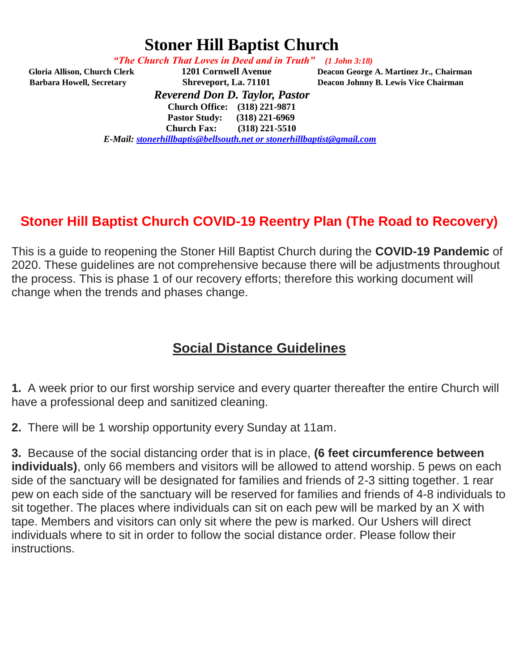# **Stoner Hill Baptist Church**

 *"The Church That Loves in Deed and in Truth" (1 John 3:18)*

 **Gloria Allison, Church Clerk 1201 Cornwell Avenue Deacon George A. Martinez Jr., Chairman** 

**Barbara Howell, Secretary <b>Shreveport, La. 71101** Deacon Johnny B. Lewis Vice Chairman *Reverend Don D. Taylor, Pastor*  **Church Office: (318) 221-9871** 

 **Pastor Study: (318) 221-6969** 

 **Church Fax: (318) 221-5510** 

*E-Mail: [stonerhillbaptis@bellsouth.net](mailto:stonerhillbaptis@bellsouth.net) or stonerhillbaptist@gmail.com*

### **Stoner Hill Baptist Church COVID-19 Reentry Plan (The Road to Recovery)**

This is a guide to reopening the Stoner Hill Baptist Church during the **COVID-19 Pandemic** of 2020. These guidelines are not comprehensive because there will be adjustments throughout the process. This is phase 1 of our recovery efforts; therefore this working document will change when the trends and phases change.

### **Social Distance Guidelines**

**1.** A week prior to our first worship service and every quarter thereafter the entire Church will have a professional deep and sanitized cleaning.

**2.** There will be 1 worship opportunity every Sunday at 11am.

**3.** Because of the social distancing order that is in place, **(6 feet circumference between individuals)**, only 66 members and visitors will be allowed to attend worship. 5 pews on each side of the sanctuary will be designated for families and friends of 2-3 sitting together. 1 rear pew on each side of the sanctuary will be reserved for families and friends of 4-8 individuals to sit together. The places where individuals can sit on each pew will be marked by an X with tape. Members and visitors can only sit where the pew is marked. Our Ushers will direct individuals where to sit in order to follow the social distance order. Please follow their instructions.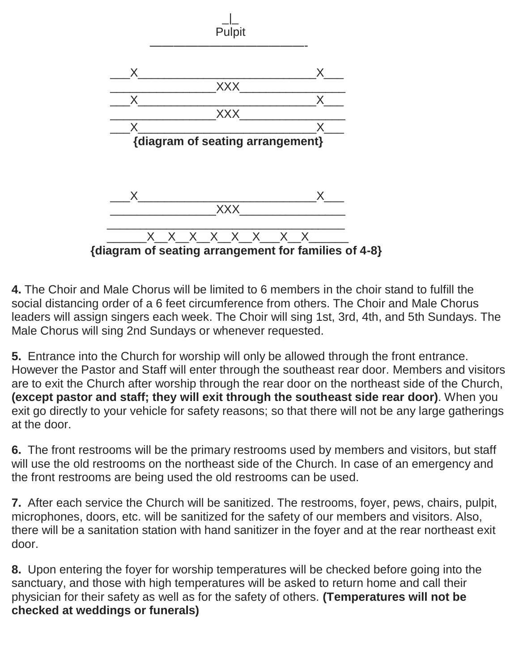

**4.** The Choir and Male Chorus will be limited to 6 members in the choir stand to fulfill the social distancing order of a 6 feet circumference from others. The Choir and Male Chorus leaders will assign singers each week. The Choir will sing 1st, 3rd, 4th, and 5th Sundays. The Male Chorus will sing 2nd Sundays or whenever requested.

**5.** Entrance into the Church for worship will only be allowed through the front entrance. However the Pastor and Staff will enter through the southeast rear door. Members and visitors are to exit the Church after worship through the rear door on the northeast side of the Church, **(except pastor and staff; they will exit through the southeast side rear door)**. When you exit go directly to your vehicle for safety reasons; so that there will not be any large gatherings at the door.

**6.** The front restrooms will be the primary restrooms used by members and visitors, but staff will use the old restrooms on the northeast side of the Church. In case of an emergency and the front restrooms are being used the old restrooms can be used.

**7.** After each service the Church will be sanitized. The restrooms, foyer, pews, chairs, pulpit, microphones, doors, etc. will be sanitized for the safety of our members and visitors. Also, there will be a sanitation station with hand sanitizer in the foyer and at the rear northeast exit door.

**8.** Upon entering the foyer for worship temperatures will be checked before going into the sanctuary, and those with high temperatures will be asked to return home and call their physician for their safety as well as for the safety of others. **(Temperatures will not be checked at weddings or funerals)**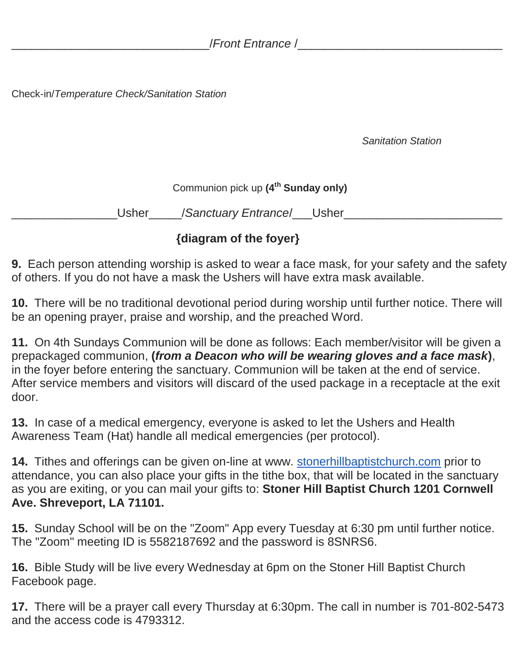Check-in/*Temperature Check/Sanitation Station*

*Sanitation Station*

Communion pick up **(4th Sunday only)**

\_\_\_\_\_\_\_\_\_\_\_\_\_\_\_\_Usher\_\_\_\_\_/*Sanctuary Entrance*/\_\_\_Usher\_\_\_\_\_\_\_\_\_\_\_\_\_\_\_\_\_\_\_\_\_\_\_\_

#### **{diagram of the foyer}**

**9.** Each person attending worship is asked to wear a face mask, for your safety and the safety of others. If you do not have a mask the Ushers will have extra mask available.

**10.** There will be no traditional devotional period during worship until further notice. There will be an opening prayer, praise and worship, and the preached Word.

**11.** On 4th Sundays Communion will be done as follows: Each member/visitor will be given a prepackaged communion, **(***from a Deacon who will be wearing gloves and a face mask***)**, in the foyer before entering the sanctuary. Communion will be taken at the end of service. After service members and visitors will discard of the used package in a receptacle at the exit door.

**13.** In case of a medical emergency, everyone is asked to let the Ushers and Health Awareness Team (Hat) handle all medical emergencies (per protocol).

**14.** Tithes and offerings can be given on-line at www. [stonerhillbaptistchurch.com](http://stonerhillbaptistchurch.com/) prior to attendance, you can also place your gifts in the tithe box, that will be located in the sanctuary as you are exiting, or you can mail your gifts to: **Stoner Hill Baptist Church 1201 Cornwell Ave. Shreveport, LA 71101.**

**15.** Sunday School will be on the "Zoom" App every Tuesday at 6:30 pm until further notice. The "Zoom" meeting ID is 5582187692 and the password is 8SNRS6.

**16.** Bible Study will be live every Wednesday at 6pm on the Stoner Hill Baptist Church Facebook page.

**17.** There will be a prayer call every Thursday at 6:30pm. The call in number is 701-802-5473 and the access code is 4793312.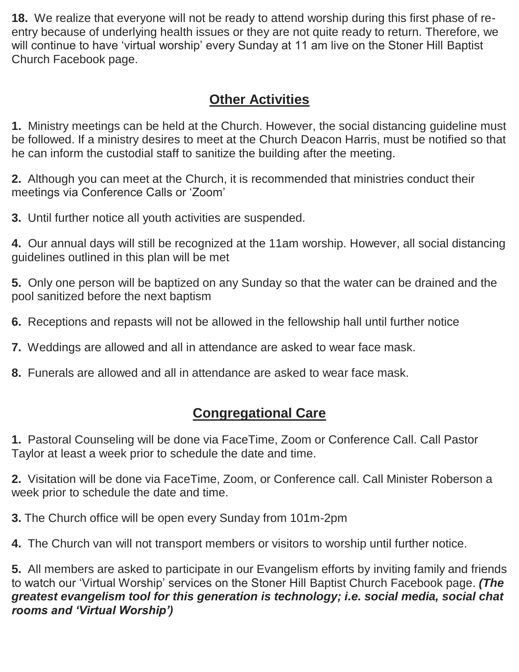**18.** We realize that everyone will not be ready to attend worship during this first phase of reentry because of underlying health issues or they are not quite ready to return. Therefore, we will continue to have 'virtual worship' every Sunday at 11 am live on the Stoner Hill Baptist Church Facebook page.

## **Other Activities**

**1.** Ministry meetings can be held at the Church. However, the social distancing guideline must be followed. If a ministry desires to meet at the Church Deacon Harris, must be notified so that he can inform the custodial staff to sanitize the building after the meeting.

**2.** Although you can meet at the Church, it is recommended that ministries conduct their meetings via Conference Calls or 'Zoom'

**3.** Until further notice all youth activities are suspended.

**4.** Our annual days will still be recognized at the 11am worship. However, all social distancing guidelines outlined in this plan will be met

**5.** Only one person will be baptized on any Sunday so that the water can be drained and the pool sanitized before the next baptism

**6.** Receptions and repasts will not be allowed in the fellowship hall until further notice

**7.** Weddings are allowed and all in attendance are asked to wear face mask.

**8.** Funerals are allowed and all in attendance are asked to wear face mask.

## **Congregational Care**

**1.** Pastoral Counseling will be done via FaceTime, Zoom or Conference Call. Call Pastor Taylor at least a week prior to schedule the date and time.

**2.** Visitation will be done via FaceTime, Zoom, or Conference call. Call Minister Roberson a week prior to schedule the date and time.

**3.** The Church office will be open every Sunday from 101m-2pm

**4.** The Church van will not transport members or visitors to worship until further notice.

**5.** All members are asked to participate in our Evangelism efforts by inviting family and friends to watch our 'Virtual Worship' services on the Stoner Hill Baptist Church Facebook page. *(The greatest evangelism tool for this generation is technology; i.e. social media, social chat rooms and 'Virtual Worship')*